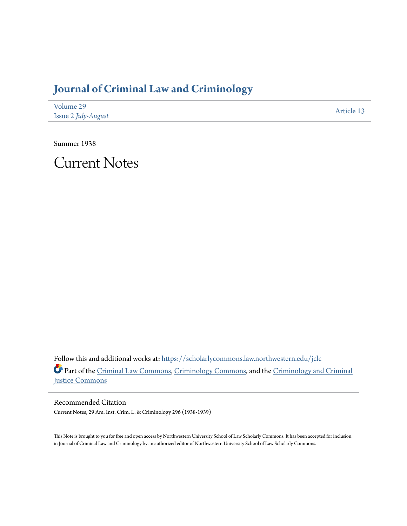## **[Journal of Criminal Law and Criminology](https://scholarlycommons.law.northwestern.edu/jclc?utm_source=scholarlycommons.law.northwestern.edu%2Fjclc%2Fvol29%2Fiss2%2F13&utm_medium=PDF&utm_campaign=PDFCoverPages)**

| Volume 29           | Article 13 |
|---------------------|------------|
| Issue 2 July-August |            |

Summer 1938

Current Notes

Follow this and additional works at: [https://scholarlycommons.law.northwestern.edu/jclc](https://scholarlycommons.law.northwestern.edu/jclc?utm_source=scholarlycommons.law.northwestern.edu%2Fjclc%2Fvol29%2Fiss2%2F13&utm_medium=PDF&utm_campaign=PDFCoverPages) Part of the [Criminal Law Commons](http://network.bepress.com/hgg/discipline/912?utm_source=scholarlycommons.law.northwestern.edu%2Fjclc%2Fvol29%2Fiss2%2F13&utm_medium=PDF&utm_campaign=PDFCoverPages), [Criminology Commons](http://network.bepress.com/hgg/discipline/417?utm_source=scholarlycommons.law.northwestern.edu%2Fjclc%2Fvol29%2Fiss2%2F13&utm_medium=PDF&utm_campaign=PDFCoverPages), and the [Criminology and Criminal](http://network.bepress.com/hgg/discipline/367?utm_source=scholarlycommons.law.northwestern.edu%2Fjclc%2Fvol29%2Fiss2%2F13&utm_medium=PDF&utm_campaign=PDFCoverPages) [Justice Commons](http://network.bepress.com/hgg/discipline/367?utm_source=scholarlycommons.law.northwestern.edu%2Fjclc%2Fvol29%2Fiss2%2F13&utm_medium=PDF&utm_campaign=PDFCoverPages)

Recommended Citation Current Notes, 29 Am. Inst. Crim. L. & Criminology 296 (1938-1939)

This Note is brought to you for free and open access by Northwestern University School of Law Scholarly Commons. It has been accepted for inclusion in Journal of Criminal Law and Criminology by an authorized editor of Northwestern University School of Law Scholarly Commons.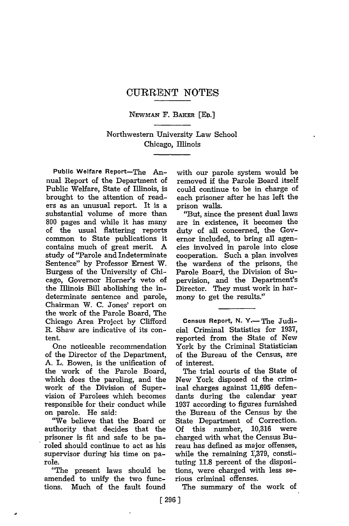## CURRENT **NOTES**

NEWMAx F. BAKER [ED.]

## Northwestern University Law School Chicago, Illinois

Public Welfare Report-The Annual Report of the Department of Public Welfare, State of Illinois, is brought to the attention of readers as an unusual report. It is a substantial volume of more than 800 pages and while it has many of the usual flattering reports common to State publications it contains much of great merit. A study of "Parole and Indeterminate Sentence" by Professor Ernest W. Burgess of the University of Chicago, Governor Homer's veto of the Illinois Bill abolishing the indeterminate sentence and parole, Chairman W. C. Jones' report on the work of the Parole Board, The Chicago Area Project by Clifford R. Shaw are indicative of its content.

One noticeable recommendation of the Director of the Department, A. L. Bowen, is the unification of the work of the Parole Board, which does the paroling, and the work of the Division of Supervision of Parolees which becomes responsible for their conduct while on parole. He said:

"We believe that the Board or authority that decides that the prisoner is fit and safe to be paroled should continue to act as his supervisor during his time on parole.

"The present laws should be amended to unify the two functions. Much of the fault found with our parole system would be removed if the Parole Board itself could continue to be in charge of each prisoner after he has left the prison walls.

"But, since the present dual laws are in existence, it becomes the duty of all concerned, the Governor included, to bring all agencies involved in parole into close cooperation. Such a plan involves the wardens of the prisons, the Parole Board, the Division of Supervision, and the Department's Director. They must work in harmony to get the results."

Census Report, **N.** Y.-The Judicial Criminal Statistics for **1937,** reported from the State of New York by the Criminal Statistician of the Bureau of the Census, are of interest.

The trial courts of the State of New York disposed of the criminal charges against 11,695 defendants during the calendar year 1937 according to figures furnished the Bureau of the Census by the State Department of Correction. **Of** this number, 10,316 were charged with what the Census Bureau has defined as major offenses, while the remaining 1,379, constituting **11.8** percent of the dispositions, were charged with less serious criminal offenses.

The summary of the work of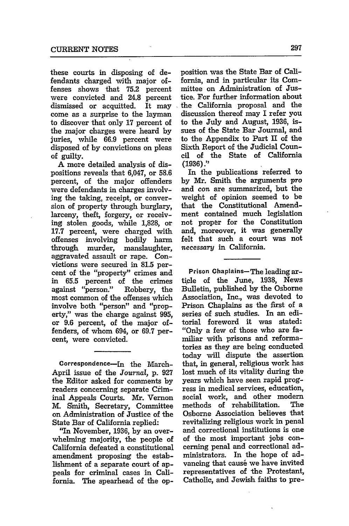these courts in disposing of defendants charged with major offenses shows that **75.2** percent were convicted and 24.8 percent dismissed or acquitted. It may come as a surprise to the layman to discover that only 17 percent of the major charges were heard by juries, while 66.9 percent were disposed of by convictions on pleas **of** guilty.

A more detailed analysis of dispositions reveals that 6,047, or 58.6 percent, of the major offenders were defendants in charges involving the taking, receipt, or conversion of property through burglary, larceny, theft, forgery, or receiving stolen goods, while **1,828,** or 17.7 percent, were charged with offenses involving bodily harm through murder, manslaughter, aggravated assault or rape. Convictions were secured in 81.5 percent of the "property" crimes and in **65.5** percent of the crimes against "person." Robbery, the most common of the offenses which involve both "person" and "property," was the charge against 995, or 9.6 percent, of the major offenders, of whom 694, or 69.7 percent, were convicted.

Correspondence-In the March-April issue of the *Journal,* p. 927 the Editor asked for comments by readers concerning separate Criminal Appeals Courts. Mr. Vernon M. Smith, Secretary, Committee on Administration of Justice of the State Bar of California replied:

"In November, 1936, by an overwhelming majority, the people of California defeated a constitutional amendment proposing the establishment of a separate court of appeals for criminal cases in California. The spearhead of the opposition was the State Bar of California, and in particular its Committee on Administration of Justice. For further information about the California proposal and the discussion thereof may I refer you to the July and August, 1936, issues of the State Bar Journal, and to the Appendix to Part II of the Sixth Report of the Judicial Council of the State of California (1936)."

In the publications referred to by Mr. Smith the arguments *pro* and con are summarized, but the weight of opinion seemed to be that the Constitutional Amendment contained much legislation not proper for the Constitution and, moreover, it was generally felt that such a court was not necessary in California.

Prison Chaplains-The leading article of the June, **1938,** News Bulletin, published by the Osborne Association, Inc., was devoted to Prison Chaplains as the first of a series of such studies. In an editorial foreword it was stated: "Only a few of those who are familiar with prisons and reformatories as they are being conducted today will dispute the assertion that, in general, religious work has lost much of its vitality during the years which have seen rapid progress in medical services, education, social work, and other modem methods of rehabilitation. The Osborne Association believes that revitalizing religious work in penal and correctional institutions is one of the most important jobs concerning penal and correctional administrators. In the hope of advancing that cause we have invited representatives of the Protestant, Catholic, and Jewish faiths to pre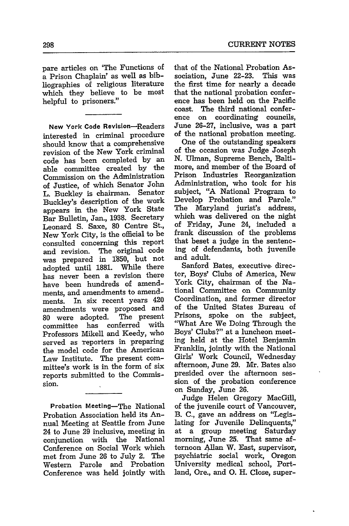pare articles on 'The Functions of a Prison Chaplain' as well as bibliographies of religious literature which they believe to be most helpful to prisoners."

**New** York Code Revision-Readers interested in criminal procedure should know that a comprehensive revision of the New York criminal code has been completed by an able committee created by the Commission on the Administration of Justice, of which Senator John L. Buckley is chairman. Senator Buckley's description of the work appears in the New York State Bar Bulletin, Jan., **1938.** Secretary Leonard S. Saxe, 80 Centre St., New York City, is the official to be consulted concerning this report and revision. The original code was prepared in 1850, but not adopted until 1881. has never been a revision there have been hundreds of amendments, and amendments to amendments. In six recent years 420 amendments were proposed and<br>80 were adopted. The present 80 were adopted. committee has conferred with Professors Mikell and Keedy, who served as Teporters in preparing the model code for the American Law Institute. The present committee's work is in the form of six reports submitted to the Commission.

Probation Meeting-The National Probation Association held its Annual Meeting at Seattle from June 24 to June 29 inclusive, meeting in conjunction with the National Conference on Social Work which met from June 26 to July 2. The Western Parole and Probation Conference was held jointly with that of the National Probation Association, June 22-23. This was the first time for nearly a decade that the national probation conference has been held on the Pacific coast. The third national conference on coordinating councils, June 26-27, inclusive, was a part of the national probation meeting.

One of the outstanding speakers of the occasion was Judge Joseph N. Ulman, Supreme Bench, Baltimore, and member of the Board of Prison Industries Reorganization Administration, who took for his subject, "A National Program to Develop Probation and Parole." The Maryland jurist's address, which was delivered on the night of Friday, June 24, included a frank discussion of the problems that beset a judge in the sentencing of defendants, both juvenile and adult.

Sanford Bates, executive-director, Boys' Clubs of America, New York City, chairman of the National Committee on Community Coordination, and former director of the United States Bureau of Prisons, spoke on the subject, "What Are We Doing Through the Boys' Clubs?" at a luncheon meeting held at the Hotel Benjamin Franklin, jointly with the National Girls' Work Council, Wednesday afternoon, June 29. Mr. Bates also presided over the afternoon session of the probation conference on Sunday, June 26.

Judge Helen Gregory MacGill, of the juvenile court of Vancouver, B. C., gave an address on "Legislating for Juvenile Delinquents," at a group meeting Saturday morning, June **25.** That same afternoon Allan W. East, supervisor, psychiatric social work, Oregon University medical school, Portland, Ore., and **0.** H. Close, super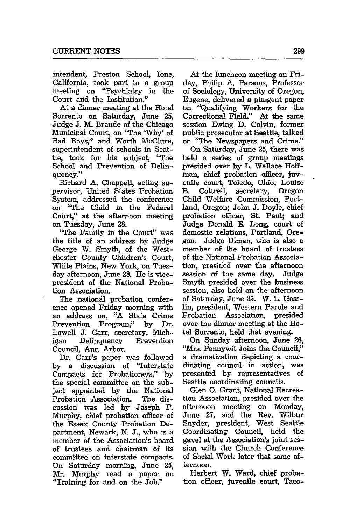intendent, Preston School, Ione, California, took part in a group meeting on "Psychiatry in the Court and the Institution."

At a dinner meeting at the Hotel Sorrento on Saturday, June **25,** Judge **J.** M. Braude of the Chicago Municipal Court, on "The **'Why'** of Bad Boys," and Worth McClure, superintendent of schools in Seattle, took for his subject, "The School and Prevention of Delinquency."

Richard **A.** Chappell, acting supervisor, United States Probation System, addressed the conference on "The Child in the Federal Court," at the afternoon meeting on Tuesday, June **28.**

"The Family in the Court" was the title of an address **by** Judge George W. Smyth, of the Westchester County Children's Court, White Plains, New York, on Tuesday afternoon, June 28. He is vicepresident of the National Probation Association.

The national probation conference opened Friday morning with an address on, "A State Crime Prevention Program," by Dr. Lowell J. Carr, secretary, Michigan Delinquency Prevention Council, Ann Arbor.

Dr. Carr's paper was followed by a discussion of "Interstate Compacts for Probationers," by the special committee on the subject appointed by the National Probation Association. The discussion was led by Joseph P. Murphy, chief probation officer of the Essex County Probation Department, Newark, N. J., who is a member of the Association's board of trustees and chairman of its committee on interstate compacts. On Saturday morning, June **25,** Mr. Murphy read a paper on "Training for and on the Job.'

At the luncheon meeting on Friday, Philip **A.** Parsons, Professor of Sociology, University of Oregon, Eugene, delivered a pungent paper on "Qualifying Workers for the Correctional Field." At the same session Ewing D. Colvin, former public prosecutor at Seattle, talked on "The Newspapers and Crime."

On Saturday, June 25, there was held a series of group meetings presided over by L. Wallace Hoffman, chief probation officer, juvenile court, Toledo, Ohio; Louise B. Cottrell, secretary, Oregon Child Welfare Commission, Portland, Oregon; John **J.** Doyle, chief probation officer, St. Paul; and Judge Donald E. Long, court of domestic relations, Portland, Oregon. Judge Ulman, who is also a member of the board of trustees of the National Probation Association, presldcd over the afternoon session of the same day. Judge Smyth presided over the business session, also held on the afternoon of Saturday, June 25. W. L. Gosslin, president, Western Parole and Probation Association, presided over the dinner meeting at the Hotel Sorrento, held that evening.

On Sunday afternoon, June 26, "Mrs. Pennywit Joins the Council," a dramatization depicting a coordinating council in action, was presented by representatives of Seattle coordinating councils.

Glen **0.** Grant, National Recreation Association, presided over the afternoon meeting on Monday, June **27,** and the Rev. Wilbur Snyder, president, West Seattle Coordinating Council, held the gavel at the Association's joint session with the Church Conference of Social Work later that same afternoon.

Herbert W. Ward, chief probation officer, juvenile court, Taco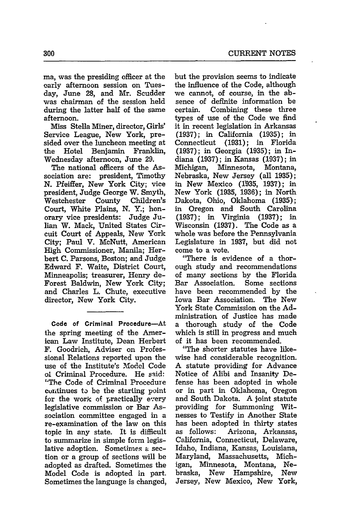ma, was the presiding officer at the early afternoon session on Tuesday, June 28, and Mr. Scudder was chairman of the session held during the latter half of the same afternoon.

Miss Stella Miner, director, Girls' Service League, New York, presided over the luncheon meeting at<br>the Hotel Benjamin Franklin, the Hotel Benjamin Wednesday afternoon, June **29.**

The national officers of the Association are: president, Timothy **N.** Pfeiffer, New York City; vice president, Judge George W. Smyth, Westchester County Children's Court, White Plains, N. Y.; honorary vice presidents: Judge Julian W. Mack, United States Circuit Court of Appeals, New York City; Paul V. McNutt, American High Commissioner, Manila; Herbert **C.** Parsons, Boston; and Judge Edward **F.** Waite, District Court, Minneapolis; treasurer, Henry de-Forest Baldwin, New York City; and Charles L. Chute, executive director, New York City.

**Code of Criminal Procedure-At** the spring meeting of the American Law Institute, Dean Herbert F. Goodrich, Adviser on Professional Relations reported upon the use of the Institute's Model Code ol Criminal Procedure. He said: "The Code of Criminal Procedure cuntinues to be the starting point for the work of practically every legislative commission or Bar Association committee engaged in a re-examination of the law on this topic in any state. It is difficult to summarize in simple form legislative adoption. Sometimes a section or a group of sections will be adopted as drafted. Sometimes the Model Code is adopted in part. Sometimes the language is changed,

but the provision seems to indicate the influence of the Code, although we cannot, of course, in the absence of definite information be certain. Combining these three types of use of the Code we find it in recent legislation in Arkansas (1937); in California (1935); in Connecticut (1931); in Florida (1937); in Georgia (1935); in Indiana (1937); in Kansas (1937); in Michigan, Minnesota, Montana, Nebraska, New Jersey (all 1935); in New Mexico (1935, 1937); in New York (1935, 1936); in North Dakota, Ohio, Oklahoma (1935); in Oregon and South Carolina (1937); in Virginia (1937); in Wisconsin (1937). The Code as a whole was before the Pennsylvania Legislature in 1937, but did not come to a vote.

"There is evidence of a thorough study and recommendations of many sections by the Florida Bar Association. Some sections have been recommended by the Iowa Bar Association. The New York State Commission on the Administration of Justice has made a thorough study of the Code which is still in progress and much of it has been recommended.

"The shorter statutes have likewise had considerable recognition. A statute providing for Advance Notice of Alibi and Insanity Defense has been adopted in whole or in part in Oklahoma, Oregon and South Dakota. A joint statute providing for Summoning Witnesses to Testify in Another State has been adopted in thirty states as follows: Arizona, Arkansas, California, Connecticut, Delaware, Idaho, Indiana, Kansas, Louisiana, Maryland, Massachusetts, Michigan, Minnesota, Montana, Nebraska, New Hampshire, New Jersey, New Mexico, New York,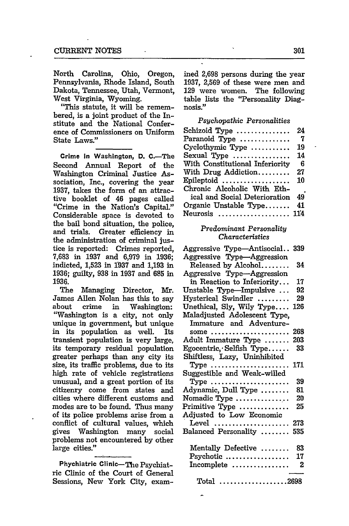North Carolina, Ohio, Oregon, Pennsylvania, Rhode Island, South Dakota, Tennessee, Utah, Vermont, West Virginia, Wyoming.

"This statute, it will be remembered, is a joint product of the Institute and the National Conference of Commissioners on Uniform State Laws."

Crime In Washington, **D.** C.-The Second Annual Report of the Washington Criminal Justice Association, Inc., covering the year **1937,** takes the form of an attractive booklet of 46 pages called "Crime in the Nation's Capital." Considerable space is devoted to the bail bond situation, the police, and trials. Greater efficiency in the administration of criminal justice is reported: Crimes reported, 7,683 in 1937 and 6,979 in 1936; indicted, 1,523 in **1937** and 1,193 in 1936; guilty, 938 in 1937 and 685 in 1936.

The Managing Director, Mr. James Allen Nolan has this to say about crime in Washington: "Washington is a city, not only unique *in* government, but unique in its population as well. Its transient population is very large, its temporary residual population greater perhaps than any city its size, its traffic problems, due to its high rate of vehicle registrations unusual, and a great portion of its citizenry come from states and cities where different customs and modes are to be found. Thus many of its police problems arise from a conflict of cultural values, which gives Washington many social problems not encountered by other large cities."

Phychiatric Clinic-The Psychiat**ric** Clinic of the Court of General Sessions, New York City, examined 2,698 persons during the year 1937, 2,569 of these were men and 129 were women. The following table lists the "Personality Diagnosis."

*Psychopathic Personalities* Schizoid Type .................... 24 Paranoid Type .............. **7** Cyclothymic Type ........... 19 Sexual Type  $\dots\dots\dots\dots\dots$  14 With Constitutional Inferiority 6 With Drug Addiction ......... 27 Epileptoid ................... 10 Chronic Alcoholic With Ethical and Social Deterioration 49 Organic Unstable Type....... 41 Neurosis .................... 114

## *Predominant Personality Characteristics*

| Aggressive Type-Antisocial                 | 339 |
|--------------------------------------------|-----|
| Aggressive Type-Aggression                 |     |
| Released by Alcohol                        | 34  |
| Aggressive Type-Aggression                 |     |
| in Reaction to Inferiority                 | 17  |
| Unstable Type—Impulsive $\dots$            | 92  |
| Hysterical Swindler                        | 29  |
| Unethical, Sly, Wily Type                  | 126 |
| Maladjusted Adolescent Type,               |     |
| Immature and Adventure-                    |     |
| some $\dots$<br>.                          | 268 |
| Adult Immature Type                        | 203 |
| Egocentric, Selfish Type                   | 33  |
| Shiftless, Lazy, Uninhibited               |     |
| Type                                       | 171 |
| Suggestible and Weak-willed                |     |
| Type                                       | 39  |
| Adynamic, Dull Type                        | 81  |
| Nomadic Type                               | 20  |
| Primitive Type $\dots\dots\dots\dots\dots$ | 25  |
| Adjusted to Low Economic                   |     |
| Level  273                                 |     |
| Balanced Personality                       | 535 |
|                                            |     |
| Mentally Defective                         | 83  |
| Psychotic                                  | 17  |
| Incomplete                                 | 2   |
|                                            |     |
| $Total$ 2698                               |     |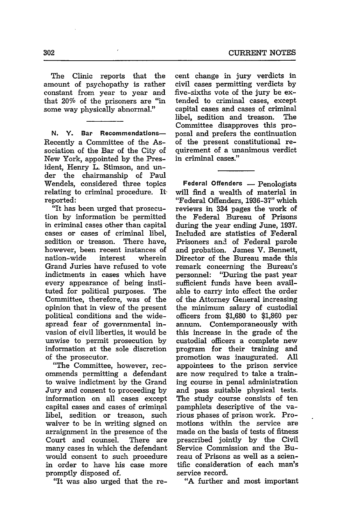The Clinic reports that the amount of psychopathy is rather constant from year to year and that 20% of the prisoners are "in some way physically abnormal."

**N. Y.** Bar Recommendations-Recently a Committee of the Association of the Bar of the City of New York, appointed by the President, Henry L. Stimson, and under the chairmanship of Paul Wendels, considered three topics relating to criminal procedure. Itreported:

"It has been urged that prosecution by information be permitted in criminal cases other than capital cases or cases of criminal libel, sedition or treason. There have, however, been recent instances of nation-wide interest wherein Grand Juries have refused to vote indictments in cases which have every appearance of being instituted for political purposes. The Committee, therefore, was of the opinion that in view of the present political conditions and the widespread fear of governmental invasion of civil liberties, it would be unwise to permit prosecution by information at the sole discretion of the prosecutor.

"The Committee, however, recommends permitting a defendant to waive indictment by the Grand Jury and consent to proceeding by information on all cases except capital cases and cases of criminal libel, sedition or treason, such waiver to be in writing signed on arraignment in the presence of the Court and counsel. There are many cases in which the defendant would consent to such procedure in order to have his case more promptly disposed of.

"It was also urged that the re-

cent change in jury verdicts in civil cases permitting verdicts by five-sixths vote of the jury be extended to criminal cases, except capital cases and cases of criminal libel, sedition and treason. The Committee disapproves this proposal and prefers the continuation of the present constitutional requirement of a unanimous verdict in criminal cases."

Federal Offenders - Penologists will find a wealth of material in "Federal Offenders, 1936-37" which reviews in 334 pages the work of the Federal Bureau of Prisons during the year ending June, 1937. Included are statistics of Federal Prisoners and of Federal parole and probation. James V. Bennett, Director of the Bureau made this remark concerning the Bureau's personnel: "During the past year sufficient funds have been available to carry into effect the order of the Attorney General increasing the minimum salary of custodial officers from \$1,680 to \$1,860 per annum. Contemporaneously with this increase in the grade of the custodial officers a complete new program for their training and promotion was inaugurated. All appointees to the prison service are now required to take a training course in penal administration and pass suitable physical tests. The study course consists of ten pamphlets descriptive of the various phases of prison work. Promotions within the service are made on the basis of tests of fitness prescribed jointly by the Civil Service Commission and the Bureau of Prisons as well as a scientific consideration of each man's service record.

"A further and most important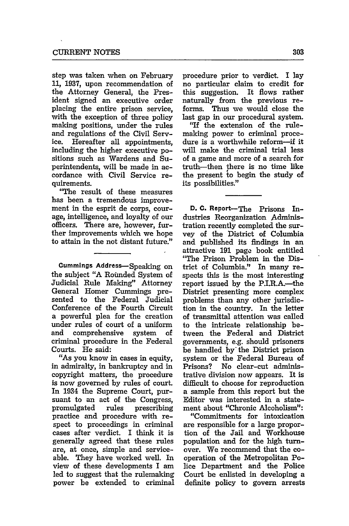step was taken when on February **11, 1937,** upon recommendation of the Attorney General, the President signed an executive order placing the entire prison service, with the exception of three policy making positions, under the rules and regulations of the Civil Service. Hereafter all appointments, including the higher executive positions such as Wardens and Superintendents, will be made in accordance with Civil Service requirements.

"The result of these measures has been a tremendous improvement in the esprit de corps, courage, intelligence, and loyalty of our officers. There are, however, further improvements which we hope to attain in the not distant future."

**Cummings Address-Speaking on** the subject "A Rounded System of Judicial Rule Making" Attorney General Homer Cummings presented to the Federal Judicial Conference of the Fourth Circuit a powerful plea for the creation under rules of court of a uniform and comprehensive system of criminal procedure in the Federal Courts. He said:

"As you know in cases in equity, in admiralty, in bankruptcy and in copyright matters, the procedure is now governed **by** rules of court. In 1934 the Supreme Court, pursuant to an act of the Congress, promulgated rules prescribing practice and procedure with respect to proceedings in criminal cases after verdict. I think it is generally agreed that these rules are, at once, simple and serviceable. They have worked well. In view of these developments I am led to suggest that the rulemaking power be extended to criminal

procedure prior to verdict. I lay no particular claim to credit for this suggestion. It fiows rather naturally from the previous reforms. Thus we would close the last gap in our procedural system.

"If the extension of the rulemaking power to criminal procedure is a worthwhile reform-if it will make the criminal trial less of a game and more of a search for truth-then there is no time like the present to begin the study of its possibilities."

**D. C.** Report-The Prisons **In**dustries Reorganization Administration recently completed the survey of the District of Columbia and published its findings in an attractive **191** page book entitled "The Prison Problem in the District of Columbia." In many respects this is the most interesting report issued **by** the P.I.R.A.-the District presenting more complex problems than any other jurisdiction in the country. In the letter of transmittal attention was called to the intricate relationship between the Federal and District governments, e.g. should prisoners be handled by the District prison system or the Federal Bureau of Prisons? No clear-cut administrative division now appears. It is difficult to choose for reproduction a sample from this report but the Editor was interested in a statement about "Chronic Alcoholism":

"Commitments for intoxication are responsible for a large proportion of the Jail and Workhouse population and for the high turnover. We recommend that the cooperation of the Metropolitan Police Department and the Police Court be enlisted in developing a definite policy to govern arrests